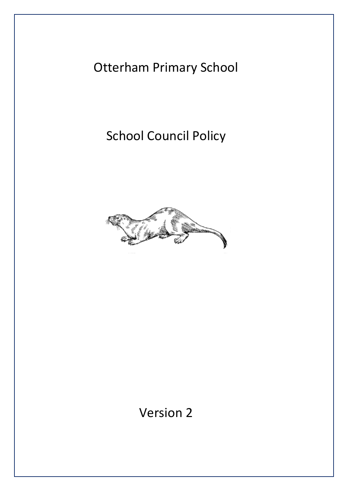Otterham Primary School

School Council Policy



Version 2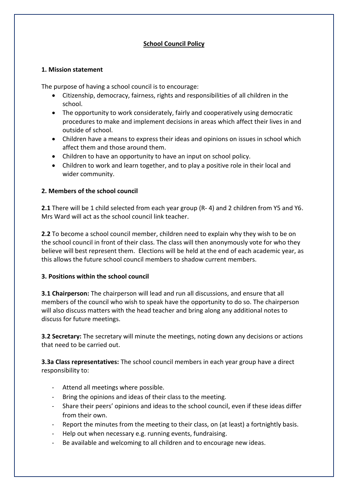## **School Council Policy**

### **1. Mission statement**

The purpose of having a school council is to encourage:

- Citizenship, democracy, fairness, rights and responsibilities of all children in the school.
- The opportunity to work considerately, fairly and cooperatively using democratic procedures to make and implement decisions in areas which affect their lives in and outside of school.
- Children have a means to express their ideas and opinions on issues in school which affect them and those around them.
- Children to have an opportunity to have an input on school policy.
- Children to work and learn together, and to play a positive role in their local and wider community.

### **2. Members of the school council**

**2.1** There will be 1 child selected from each year group (R- 4) and 2 children from Y5 and Y6. Mrs Ward will act as the school council link teacher.

**2.2** To become a school council member, children need to explain why they wish to be on the school council in front of their class. The class will then anonymously vote for who they believe will best represent them. Elections will be held at the end of each academic year, as this allows the future school council members to shadow current members.

### **3. Positions within the school council**

**3.1 Chairperson:** The chairperson will lead and run all discussions, and ensure that all members of the council who wish to speak have the opportunity to do so. The chairperson will also discuss matters with the head teacher and bring along any additional notes to discuss for future meetings.

**3.2 Secretary:** The secretary will minute the meetings, noting down any decisions or actions that need to be carried out.

**3.3a Class representatives:** The school council members in each year group have a direct responsibility to:

- Attend all meetings where possible.
- Bring the opinions and ideas of their class to the meeting.
- Share their peers' opinions and ideas to the school council, even if these ideas differ from their own.
- Report the minutes from the meeting to their class, on (at least) a fortnightly basis.
- Help out when necessary e.g. running events, fundraising.
- Be available and welcoming to all children and to encourage new ideas.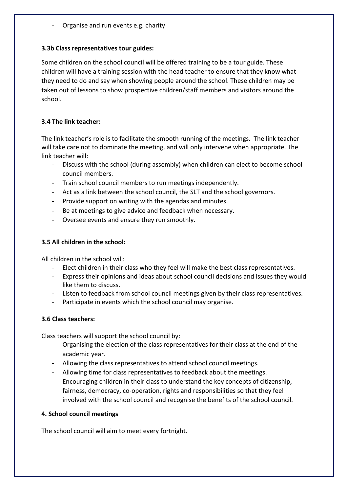Organise and run events e.g. charity

### **3.3b Class representatives tour guides:**

Some children on the school council will be offered training to be a tour guide. These children will have a training session with the head teacher to ensure that they know what they need to do and say when showing people around the school. These children may be taken out of lessons to show prospective children/staff members and visitors around the school.

## **3.4 The link teacher:**

The link teacher's role is to facilitate the smooth running of the meetings. The link teacher will take care not to dominate the meeting, and will only intervene when appropriate. The link teacher will:

- Discuss with the school (during assembly) when children can elect to become school council members.
- Train school council members to run meetings independently.
- Act as a link between the school council, the SLT and the school governors.
- Provide support on writing with the agendas and minutes.
- Be at meetings to give advice and feedback when necessary.
- Oversee events and ensure they run smoothly.

## **3.5 All children in the school:**

All children in the school will:

- Elect children in their class who they feel will make the best class representatives.
- Express their opinions and ideas about school council decisions and issues they would like them to discuss.
- Listen to feedback from school council meetings given by their class representatives.
- Participate in events which the school council may organise.

# **3.6 Class teachers:**

Class teachers will support the school council by:

- Organising the election of the class representatives for their class at the end of the academic year.
- Allowing the class representatives to attend school council meetings.
- Allowing time for class representatives to feedback about the meetings.
- Encouraging children in their class to understand the key concepts of citizenship, fairness, democracy, co-operation, rights and responsibilities so that they feel involved with the school council and recognise the benefits of the school council.

### **4. School council meetings**

The school council will aim to meet every fortnight.